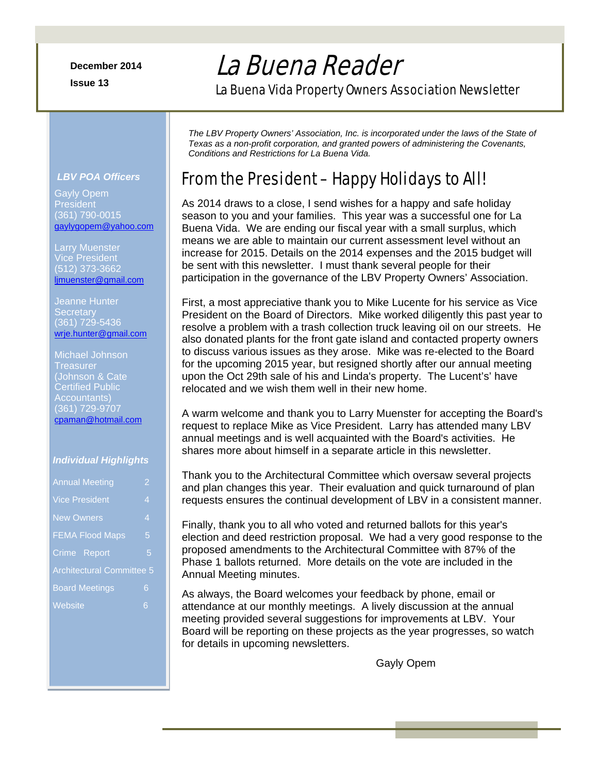**Issue 13** 

# La Buena Reader

La Buena Vida Property Owners Association Newsletter

*The LBV Property Owners' Association, Inc. is incorporated under the laws of the State of Texas as a non-profit corporation, and granted powers of administering the Covenants, Conditions and Restrictions for La Buena Vida.* 

## From the President – Happy Holidays to All!

As 2014 draws to a close, I send wishes for a happy and safe holiday season to you and your families. This year was a successful one for La Buena Vida. We are ending our fiscal year with a small surplus, which means we are able to maintain our current assessment level without an increase for 2015. Details on the 2014 expenses and the 2015 budget will be sent with this newsletter. I must thank several people for their participation in the governance of the LBV Property Owners' Association.

First, a most appreciative thank you to Mike Lucente for his service as Vice President on the Board of Directors. Mike worked diligently this past year to resolve a problem with a trash collection truck leaving oil on our streets. He also donated plants for the front gate island and contacted property owners to discuss various issues as they arose. Mike was re-elected to the Board for the upcoming 2015 year, but resigned shortly after our annual meeting upon the Oct 29th sale of his and Linda's property. The Lucent's' have relocated and we wish them well in their new home.

A warm welcome and thank you to Larry Muenster for accepting the Board's request to replace Mike as Vice President. Larry has attended many LBV annual meetings and is well acquainted with the Board's activities. He shares more about himself in a separate article in this newsletter.

Thank you to the Architectural Committee which oversaw several projects and plan changes this year. Their evaluation and quick turnaround of plan requests ensures the continual development of LBV in a consistent manner.

Finally, thank you to all who voted and returned ballots for this year's election and deed restriction proposal. We had a very good response to the proposed amendments to the Architectural Committee with 87% of the Phase 1 ballots returned. More details on the vote are included in the Annual Meeting minutes.

As always, the Board welcomes your feedback by phone, email or attendance at our monthly meetings. A lively discussion at the annual meeting provided several suggestions for improvements at LBV. Your Board will be reporting on these projects as the year progresses, so watch for details in upcoming newsletters.

Gayly Opem

### *LBV POA Officers*

Gayly Opem **President** (361) 790-0015 gaylygopem@yahoo.com

Larry Muenster (512) 373-3662 ljmuenster@gmail.com

Jeanne Hunter **Secretary** (361) 729-5436 wrje.hunter@gmail.com

Michael Johnson **Treasurer** (Johnson & Cate Certified Public Accountants) (361) 729-9707 cpaman@hotmail.com

#### *Individual Highlights*

| <b>Annual Meeting</b>            | $\overline{2}$ |
|----------------------------------|----------------|
| <b>Vice President</b>            | 4              |
| <b>New Owners</b>                | 4              |
| <b>FEMA Flood Maps</b>           | 5              |
| Crime Report                     | 5              |
| <b>Architectural Committee 5</b> |                |
| <b>Board Meetings</b>            | 6              |
| Website                          | 6              |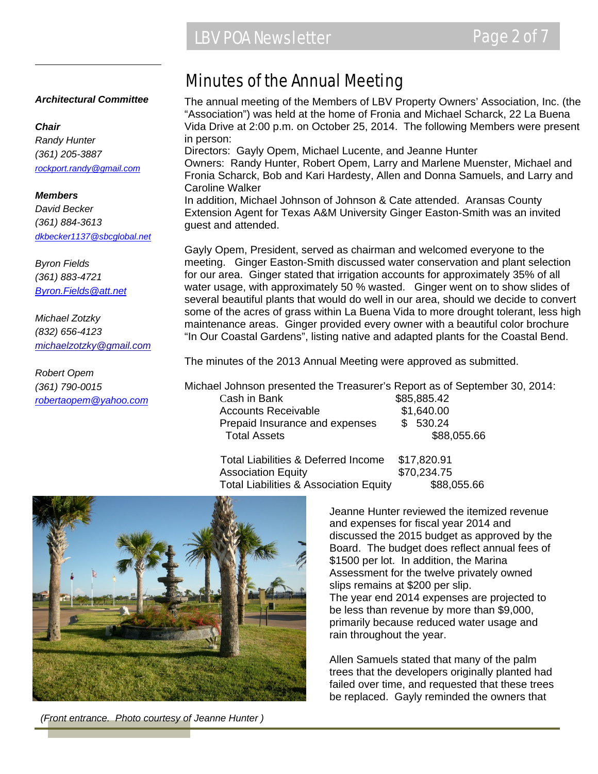#### *Architectural Committee*

#### *Chair*

*Randy Hunter (361) 205-3887 rockport.randy@gmail.com*

#### *Members*

*David Becker (361) 884-3613 dkbecker1137@sbcglobal.net*

*Byron Fields (361) 883-4721 Byron.Fields@att.net*

*Michael Zotzky (832) 656-4123 michaelzotzky@gmail.com* 

*Robert Opem (361) 790-0015 robertaopem@yahoo.com*

### Minutes of the Annual Meeting

The annual meeting of the Members of LBV Property Owners' Association, Inc. (the "Association") was held at the home of Fronia and Michael Scharck, 22 La Buena Vida Drive at 2:00 p.m. on October 25, 2014. The following Members were present in person: Directors: Gayly Opem, Michael Lucente, and Jeanne Hunter

Owners: Randy Hunter, Robert Opem, Larry and Marlene Muenster, Michael and Fronia Scharck, Bob and Kari Hardesty, Allen and Donna Samuels, and Larry and Caroline Walker

In addition, Michael Johnson of Johnson & Cate attended. Aransas County Extension Agent for Texas A&M University Ginger Easton-Smith was an invited guest and attended.

Gayly Opem, President, served as chairman and welcomed everyone to the meeting. Ginger Easton-Smith discussed water conservation and plant selection for our area. Ginger stated that irrigation accounts for approximately 35% of all water usage, with approximately 50 % wasted. Ginger went on to show slides of several beautiful plants that would do well in our area, should we decide to convert some of the acres of grass within La Buena Vida to more drought tolerant, less high maintenance areas. Ginger provided every owner with a beautiful color brochure "In Our Coastal Gardens", listing native and adapted plants for the Coastal Bend.

The minutes of the 2013 Annual Meeting were approved as submitted.

Michael Johnson presented the Treasurer's Report as of September 30, 2014: Cash in Bank \$85,885.42 Accounts Receivable  $$1.640.00$ Prepaid Insurance and expenses \$ 530.24 Total Assets \$88,055.66

 Total Liabilities & Deferred Income \$17,820.91 Association Equity **\$70,234.75** Total Liabilities & Association Equity \$88,055.66



*(Front entrance. Photo courtesy of Jeanne Hunter )* 

Jeanne Hunter reviewed the itemized revenue and expenses for fiscal year 2014 and discussed the 2015 budget as approved by the Board. The budget does reflect annual fees of \$1500 per lot. In addition, the Marina Assessment for the twelve privately owned slips remains at \$200 per slip. The year end 2014 expenses are projected to be less than revenue by more than \$9,000, primarily because reduced water usage and rain throughout the year.

Allen Samuels stated that many of the palm trees that the developers originally planted had failed over time, and requested that these trees be replaced. Gayly reminded the owners that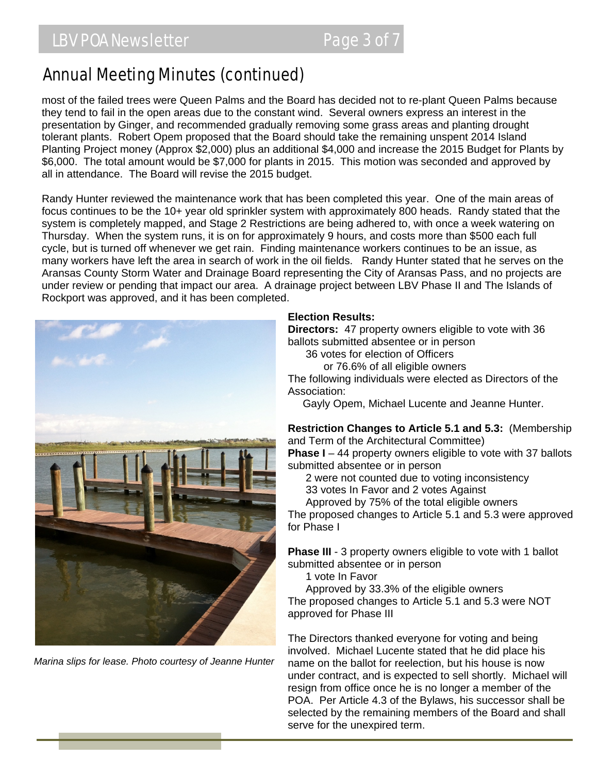## Annual Meeting Minutes (continued)

most of the failed trees were Queen Palms and the Board has decided not to re-plant Queen Palms because they tend to fail in the open areas due to the constant wind. Several owners express an interest in the presentation by Ginger, and recommended gradually removing some grass areas and planting drought tolerant plants. Robert Opem proposed that the Board should take the remaining unspent 2014 Island Planting Project money (Approx \$2,000) plus an additional \$4,000 and increase the 2015 Budget for Plants by \$6,000. The total amount would be \$7,000 for plants in 2015. This motion was seconded and approved by all in attendance. The Board will revise the 2015 budget.

Randy Hunter reviewed the maintenance work that has been completed this year. One of the main areas of focus continues to be the 10+ year old sprinkler system with approximately 800 heads. Randy stated that the system is completely mapped, and Stage 2 Restrictions are being adhered to, with once a week watering on Thursday. When the system runs, it is on for approximately 9 hours, and costs more than \$500 each full cycle, but is turned off whenever we get rain. Finding maintenance workers continues to be an issue, as many workers have left the area in search of work in the oil fields. Randy Hunter stated that he serves on the Aransas County Storm Water and Drainage Board representing the City of Aransas Pass, and no projects are under review or pending that impact our area. A drainage project between LBV Phase II and The Islands of Rockport was approved, and it has been completed.



*Marina slips for lease. Photo courtesy of Jeanne Hunter* 

#### **Election Results:**

**Directors:** 47 property owners eligible to vote with 36 ballots submitted absentee or in person

36 votes for election of Officers

or 76.6% of all eligible owners

The following individuals were elected as Directors of the Association:

Gayly Opem, Michael Lucente and Jeanne Hunter.

**Restriction Changes to Article 5.1 and 5.3:** (Membership and Term of the Architectural Committee)

**Phase I** – 44 property owners eligible to vote with 37 ballots submitted absentee or in person

2 were not counted due to voting inconsistency

33 votes In Favor and 2 votes Against

 Approved by 75% of the total eligible owners The proposed changes to Article 5.1 and 5.3 were approved for Phase I

**Phase III** - 3 property owners eligible to vote with 1 ballot submitted absentee or in person

1 vote In Favor

 Approved by 33.3% of the eligible owners The proposed changes to Article 5.1 and 5.3 were NOT approved for Phase III

The Directors thanked everyone for voting and being involved. Michael Lucente stated that he did place his name on the ballot for reelection, but his house is now under contract, and is expected to sell shortly. Michael will resign from office once he is no longer a member of the POA. Per Article 4.3 of the Bylaws, his successor shall be selected by the remaining members of the Board and shall serve for the unexpired term.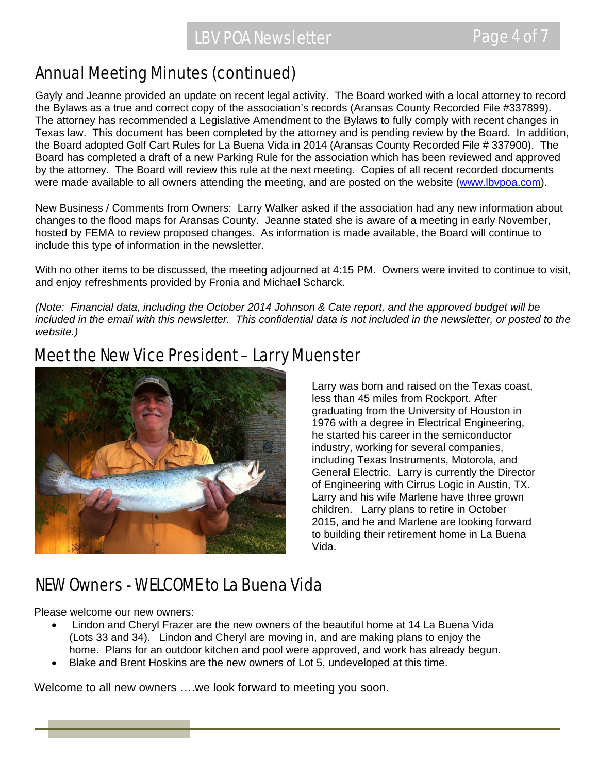## Annual Meeting Minutes (continued)

Gayly and Jeanne provided an update on recent legal activity. The Board worked with a local attorney to record the Bylaws as a true and correct copy of the association's records (Aransas County Recorded File #337899). The attorney has recommended a Legislative Amendment to the Bylaws to fully comply with recent changes in Texas law. This document has been completed by the attorney and is pending review by the Board. In addition, the Board adopted Golf Cart Rules for La Buena Vida in 2014 (Aransas County Recorded File # 337900). The Board has completed a draft of a new Parking Rule for the association which has been reviewed and approved by the attorney. The Board will review this rule at the next meeting. Copies of all recent recorded documents were made available to all owners attending the meeting, and are posted on the website (www.lbvpoa.com).

New Business / Comments from Owners: Larry Walker asked if the association had any new information about changes to the flood maps for Aransas County. Jeanne stated she is aware of a meeting in early November, hosted by FEMA to review proposed changes. As information is made available, the Board will continue to include this type of information in the newsletter.

With no other items to be discussed, the meeting adjourned at 4:15 PM. Owners were invited to continue to visit, and enjoy refreshments provided by Fronia and Michael Scharck.

*(Note: Financial data, including the October 2014 Johnson & Cate report, and the approved budget will be*  included in the email with this newsletter. This confidential data is not included in the newsletter, or posted to the *website.)* 

## Meet the New Vice President – Larry Muenster



Larry was born and raised on the Texas coast, less than 45 miles from Rockport. After graduating from the University of Houston in 1976 with a degree in Electrical Engineering, he started his career in the semiconductor industry, working for several companies, including Texas Instruments, Motorola, and General Electric. Larry is currently the Director of Engineering with Cirrus Logic in Austin, TX. Larry and his wife Marlene have three grown children. Larry plans to retire in October 2015, and he and Marlene are looking forward to building their retirement home in La Buena Vida.

## NEW Owners - WELCOME to La Buena Vida

Please welcome our new owners:

- Lindon and Cheryl Frazer are the new owners of the beautiful home at 14 La Buena Vida (Lots 33 and 34). Lindon and Cheryl are moving in, and are making plans to enjoy the home. Plans for an outdoor kitchen and pool were approved, and work has already begun.
- Blake and Brent Hoskins are the new owners of Lot 5, undeveloped at this time.

Welcome to all new owners ….we look forward to meeting you soon.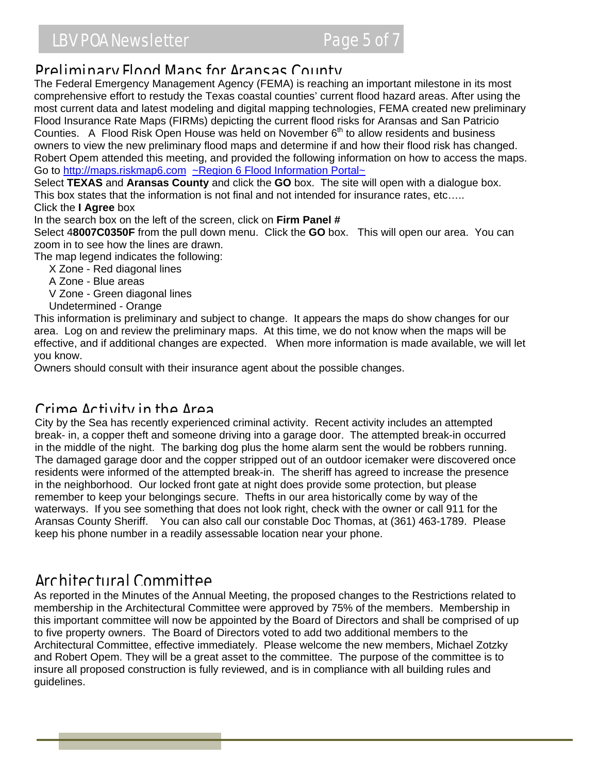Plood insulative Rate Maps (PIRMS) depicting the current flood fisks for Aransas and Safi Patricio<br>Counties. A Flood Risk Open House was held on November 6<sup>th</sup> to allow residents and business **Proliminary Flood Mans for Aransas County**<br>The Federal Emergency Management Agency (FEMA) is reaching an important milestone in its most comprehensive effort to restudy the Texas coastal counties' current flood hazard areas. After using the most current data and latest modeling and digital mapping technologies, FEMA created new preliminary Flood Insurance Rate Maps (FIRMs) depicting the current flood risks for Aransas and San Patricio owners to view the new preliminary flood maps and determine if and how their flood risk has changed. Robert Opem attended this meeting, and provided the following information on how to access the maps. Go to http://maps.riskmap6.com ~Region 6 Flood Information Portal~

Select **TEXAS** and **Aransas County** and click the **GO** box. The site will open with a dialogue box. This box states that the information is not final and not intended for insurance rates, etc….. Click the **I Agree** box

In the search box on the left of the screen, click on **Firm Panel #**

Select 4**8007C0350F** from the pull down menu. Click the **GO** box. This will open our area. You can zoom in to see how the lines are drawn.

The map legend indicates the following:

- X Zone Red diagonal lines
- A Zone Blue areas
- V Zone Green diagonal lines
- Undetermined Orange

This information is preliminary and subject to change. It appears the maps do show changes for our area. Log on and review the preliminary maps. At this time, we do not know when the maps will be effective, and if additional changes are expected. When more information is made available, we will let you know.

Owners should consult with their insurance agent about the possible changes.

### Crime Activity in the Area

City by the Sea has recently experienced criminal activity. Recent activity includes an attempted break- in, a copper theft and someone driving into a garage door. The attempted break-in occurred in the middle of the night. The barking dog plus the home alarm sent the would be robbers running. The damaged garage door and the copper stripped out of an outdoor icemaker were discovered once residents were informed of the attempted break-in. The sheriff has agreed to increase the presence in the neighborhood. Our locked front gate at night does provide some protection, but please remember to keep your belongings secure. Thefts in our area historically come by way of the waterways. If you see something that does not look right, check with the owner or call 911 for the Aransas County Sheriff. You can also call our constable Doc Thomas, at (361) 463-1789. Please keep his phone number in a readily assessable location near your phone.

### Architectural Committee

As reported in the Minutes of the Annual Meeting, the proposed changes to the Restrictions related to membership in the Architectural Committee were approved by 75% of the members. Membership in this important committee will now be appointed by the Board of Directors and shall be comprised of up to five property owners. The Board of Directors voted to add two additional members to the Architectural Committee, effective immediately. Please welcome the new members, Michael Zotzky and Robert Opem. They will be a great asset to the committee. The purpose of the committee is to insure all proposed construction is fully reviewed, and is in compliance with all building rules and guidelines.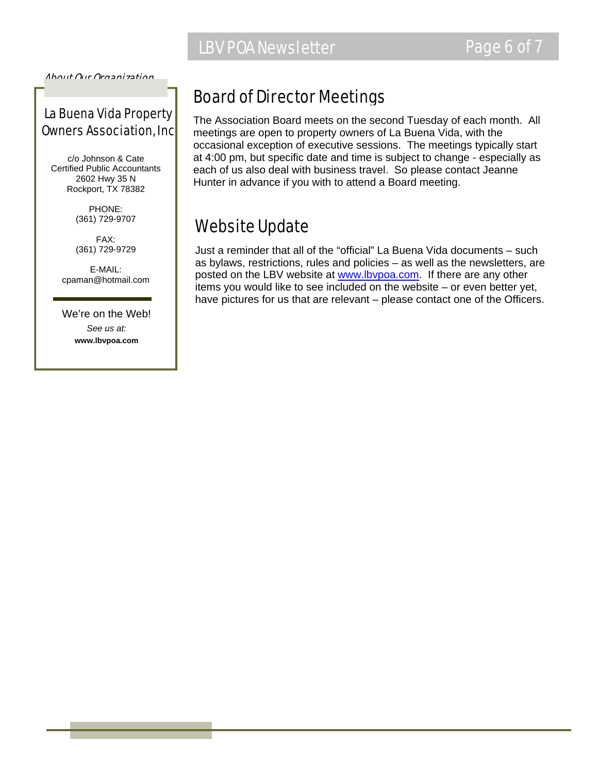

About Our Organization…

### La Buena Vida Property Owners Association, Inc

c/o Johnson & Cate Certified Public Accountants 2602 Hwy 35 N Rockport, TX 78382

> PHONE: (361) 729-9707

> FAX: (361) 729-9729

E-MAIL: cpaman@hotmail.com

We're on the Web! *See us at:*  **www.lbvpoa.com** 

## Board of Director Meetings

The Association Board meets on the second Tuesday of each month. All meetings are open to property owners of La Buena Vida, with the occasional exception of executive sessions. The meetings typically start at 4:00 pm, but specific date and time is subject to change - especially as each of us also deal with business travel. So please contact Jeanne Hunter in advance if you with to attend a Board meeting.

## Website Update

Just a reminder that all of the "official" La Buena Vida documents – such as bylaws, restrictions, rules and policies – as well as the newsletters, are posted on the LBV website at www.lbvpoa.com. If there are any other items you would like to see included on the website – or even better yet, have pictures for us that are relevant – please contact one of the Officers.